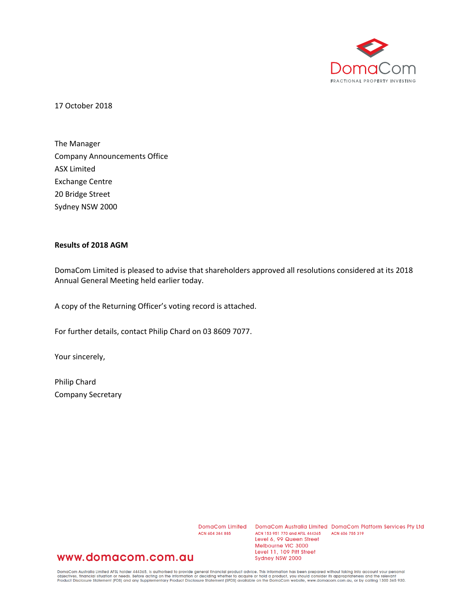

17 October 2018

The Manager Company Announcements Office ASX Limited Exchange Centre 20 Bridge Street Sydney NSW 2000

## **Results of 2018 AGM**

DomaCom Limited is pleased to advise that shareholders approved all resolutions considered at its 2018 Annual General Meeting held earlier today.

A copy of the Returning Officer's voting record is attached.

For further details, contact Philip Chard on 03 8609 7077.

Your sincerely,

Philip Chard Company Secretary

ACN 604 384 885

DomaCom Limited DomaCom Australia Limited DomaCom Platform Services Pty Ltd ACN 153 951 770 and AFSL 444365 ACN 606 755 319 Level 6, 99 Queen Street Melbourne VIC 3000 Level 11, 109 Pitt Street Sydney NSW 2000

## www.domacom.com.au

DomaCom Australia Limited AFSL holder 444365, is authorised to provide general financial product advice. This information has been prepared without taking into account your personal<br>objectives, financial situation or needs